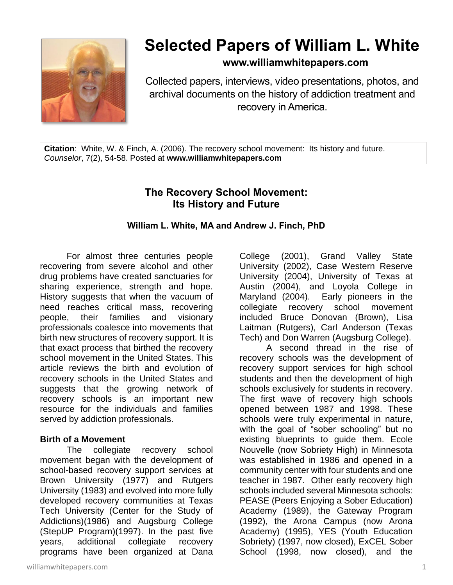

# **Selected Papers of William L. White**

**www.williamwhitepapers.com**

Collected papers, interviews, video presentations, photos, and archival documents on the history of addiction treatment and recovery in America.

**Citation**: White, W. & Finch, A. (2006). The recovery school movement: Its history and future. *Counselor*, 7(2), 54-58. Posted at **www.williamwhitepapers.com**

# **The Recovery School Movement: Its History and Future**

#### **William L. White, MA and Andrew J. Finch, PhD**

For almost three centuries people recovering from severe alcohol and other drug problems have created sanctuaries for sharing experience, strength and hope. History suggests that when the vacuum of need reaches critical mass, recovering people, their families and visionary professionals coalesce into movements that birth new structures of recovery support. It is that exact process that birthed the recovery school movement in the United States. This article reviews the birth and evolution of recovery schools in the United States and suggests that the growing network of recovery schools is an important new resource for the individuals and families served by addiction professionals.

#### **Birth of a Movement**

The collegiate recovery school movement began with the development of school-based recovery support services at Brown University (1977) and Rutgers University (1983) and evolved into more fully developed recovery communities at Texas Tech University (Center for the Study of Addictions)(1986) and Augsburg College (StepUP Program)(1997). In the past five years, additional collegiate recovery programs have been organized at Dana College (2001), Grand Valley State University (2002), Case Western Reserve University (2004), University of Texas at Austin (2004), and Loyola College in Maryland (2004). Early pioneers in the collegiate recovery school movement included Bruce Donovan (Brown), Lisa Laitman (Rutgers), Carl Anderson (Texas Tech) and Don Warren (Augsburg College).

A second thread in the rise of recovery schools was the development of recovery support services for high school students and then the development of high schools exclusively for students in recovery. The first wave of recovery high schools opened between 1987 and 1998. These schools were truly experimental in nature, with the goal of "sober schooling" but no existing blueprints to guide them. Ecole Nouvelle (now Sobriety High) in Minnesota was established in 1986 and opened in a community center with four students and one teacher in 1987. Other early recovery high schools included several Minnesota schools: PEASE (Peers Enjoying a Sober Education) Academy (1989), the Gateway Program (1992), the Arona Campus (now Arona Academy) (1995), YES (Youth Education Sobriety) (1997, now closed), ExCEL Sober School (1998, now closed), and the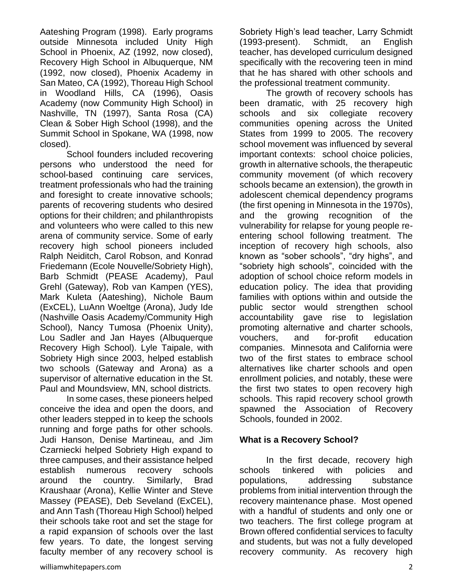Aateshing Program (1998). Early programs outside Minnesota included Unity High School in Phoenix, AZ (1992, now closed), Recovery High School in Albuquerque, NM (1992, now closed), Phoenix Academy in San Mateo, CA (1992), Thoreau High School in Woodland Hills, CA (1996), Oasis Academy (now Community High School) in Nashville, TN (1997), Santa Rosa (CA) Clean & Sober High School (1998), and the Summit School in Spokane, WA (1998, now closed).

School founders included recovering persons who understood the need for school-based continuing care services, treatment professionals who had the training and foresight to create innovative schools; parents of recovering students who desired options for their children; and philanthropists and volunteers who were called to this new arena of community service. Some of early recovery high school pioneers included Ralph Neiditch, Carol Robson, and Konrad Friedemann (Ecole Nouvelle/Sobriety High), Barb Schmidt (PEASE Academy), Paul Grehl (Gateway), Rob van Kampen (YES), Mark Kuleta (Aateshing), Nichole Baum (ExCEL), LuAnn Woeltge (Arona), Judy Ide (Nashville Oasis Academy/Community High School), Nancy Tumosa (Phoenix Unity), Lou Sadler and Jan Hayes (Albuquerque Recovery High School). Lyle Taipale, with Sobriety High since 2003, helped establish two schools (Gateway and Arona) as a supervisor of alternative education in the St. Paul and Moundsview, MN, school districts.

In some cases, these pioneers helped conceive the idea and open the doors, and other leaders stepped in to keep the schools running and forge paths for other schools. Judi Hanson, Denise Martineau, and Jim Czarniecki helped Sobriety High expand to three campuses, and their assistance helped establish numerous recovery schools around the country. Similarly, Brad Kraushaar (Arona), Kellie Winter and Steve Massey (PEASE), Deb Seveland (ExCEL), and Ann Tash (Thoreau High School) helped their schools take root and set the stage for a rapid expansion of schools over the last few years. To date, the longest serving faculty member of any recovery school is

Sobriety High's lead teacher, Larry Schmidt (1993-present). Schmidt, an English teacher, has developed curriculum designed specifically with the recovering teen in mind that he has shared with other schools and the professional treatment community.

The growth of recovery schools has been dramatic, with 25 recovery high schools and six collegiate recovery communities opening across the United States from 1999 to 2005. The recovery school movement was influenced by several important contexts: school choice policies, growth in alternative schools, the therapeutic community movement (of which recovery schools became an extension), the growth in adolescent chemical dependency programs (the first opening in Minnesota in the 1970s), and the growing recognition of the vulnerability for relapse for young people reentering school following treatment. The inception of recovery high schools, also known as "sober schools", "dry highs", and "sobriety high schools", coincided with the adoption of school choice reform models in education policy. The idea that providing families with options within and outside the public sector would strengthen school accountability gave rise to legislation promoting alternative and charter schools, vouchers, and for-profit education companies. Minnesota and California were two of the first states to embrace school alternatives like charter schools and open enrollment policies, and notably, these were the first two states to open recovery high schools. This rapid recovery school growth spawned the Association of Recovery Schools, founded in 2002.

## **What is a Recovery School?**

In the first decade, recovery high schools tinkered with policies and populations, addressing substance problems from initial intervention through the recovery maintenance phase. Most opened with a handful of students and only one or two teachers. The first college program at Brown offered confidential services to faculty and students, but was not a fully developed recovery community. As recovery high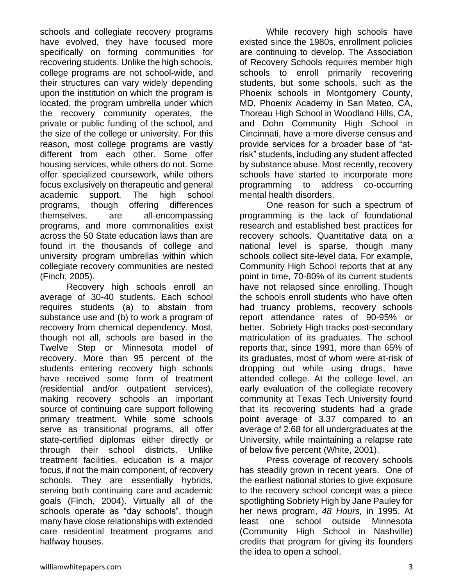schools and collegiate recovery programs have evolved, they have focused more specifically on forming communities for recovering students. Unlike the high schools, college programs are not school-wide, and their structures can vary widely depending upon the institution on which the program is located, the program umbrella under which the recovery community operates, the private or public funding of the school, and the size of the college or university. For this reason, most college programs are vastly different from each other. Some offer housing services, while others do not. Some offer specialized coursework, while others focus exclusively on therapeutic and general academic support. The high school programs, though offering differences themselves, are all-encompassing programs, and more commonalities exist across the 50 State education laws than are found in the thousands of college and university program umbrellas within which collegiate recovery communities are nested (Finch, 2005).

Recovery high schools enroll an average of 30-40 students. Each school requires students (a) to abstain from substance use and (b) to work a program of recovery from chemical dependency. Most, though not all, schools are based in the Twelve Step or Minnesota model of recovery. More than 95 percent of the students entering recovery high schools have received some form of treatment (residential and/or outpatient services), making recovery schools an important source of continuing care support following primary treatment. While some schools serve as transitional programs, all offer state-certified diplomas either directly or through their school districts. Unlike treatment facilities, education is a major focus, if not the main component, of recovery schools. They are essentially hybrids, serving both continuing care and academic goals (Finch, 2004). Virtually all of the schools operate as "day schools", though many have close relationships with extended care residential treatment programs and halfway houses.

While recovery high schools have existed since the 1980s, enrollment policies are continuing to develop. The Association of Recovery Schools requires member high schools to enroll primarily recovering students, but some schools, such as the Phoenix schools in Montgomery County, MD, Phoenix Academy in San Mateo, CA, Thoreau High School in Woodland Hills, CA, and Dohn Community High School in Cincinnati, have a more diverse census and provide services for a broader base of "atrisk" students, including any student affected by substance abuse. Most recently, recovery schools have started to incorporate more programming to address co-occurring mental health disorders.

One reason for such a spectrum of programming is the lack of foundational research and established best practices for recovery schools. Quantitative data on a national level is sparse, though many schools collect site-level data. For example, Community High School reports that at any point in time, 70-80% of its current students have not relapsed since enrolling. Though the schools enroll students who have often had truancy problems, recovery schools report attendance rates of 90-95% or better. Sobriety High tracks post-secondary matriculation of its graduates. The school reports that, since 1991, more than 65% of its graduates, most of whom were at-risk of dropping out while using drugs, have attended college. At the college level, an early evaluation of the collegiate recovery community at Texas Tech University found that its recovering students had a grade point average of 3.37 compared to an average of 2.68 for all undergraduates at the University, while maintaining a relapse rate of below five percent (White, 2001).

Press coverage of recovery schools has steadily grown in recent years. One of the earliest national stories to give exposure to the recovery school concept was a piece spotlighting Sobriety High by Jane Pauley for her news program, *48 Hours,* in 1995. At least one school outside Minnesota (Community High School in Nashville) credits that program for giving its founders the idea to open a school.